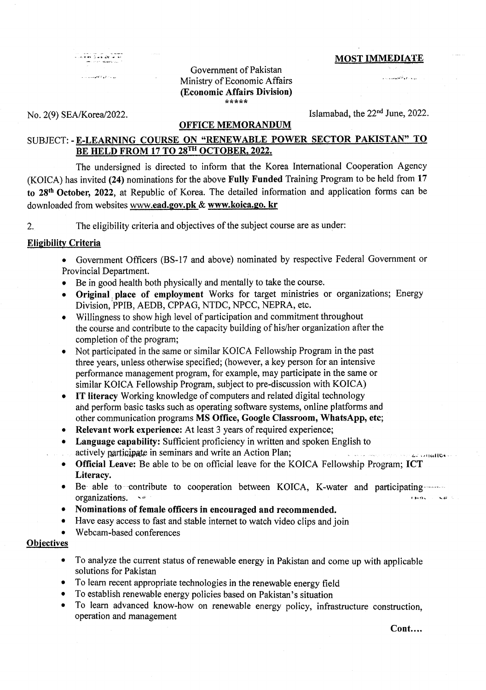and the second second second second second second second second second second second second second second second second second second second second second second second second second second second second second second seco

النواعي وأقتمتهما والمراد

# Government of Pakistan <sup>I</sup>'-' Ministry of Economic Affairs ' (Economic Affairs Division) !t\*\*rrrr

## No. 2(9) SEA/Korea/2022. Islamabad, the  $22<sup>nd</sup>$  June, 2022.

#### OFFICE MEMORANDUM

# SUBJECT: - E-LEARNING COURSE ON "RENEWABLE POWER SECTOR PAKISTAN" TO BE HELD FROM 17 TO 28TH OCTOBER, 2022.

The undersigned is directed to inform that the Korea International Cooperation Agency (KOICA) has invited (24) nominations for the above F'ully Funded Training Program to be held from 17 to 28th October, 2022, at Republic of Korea. The detailed information and application forms can be downloaded from websites www.ead.gov.pk & www.koica.go. kr

2. The eligibility criteria and objectives of the subject course are as under:

### **Eligibility Criteria**

- Government Officers (BS-17 and above) nominated by respective Federal Government or Provincial Department.
- Be in good health both physically and mentally to take the course.
- Original place of employment Works for target ministries or organizations; Energy Division,'PPIB, AEDB, CPPAG, NTDC, NPCC, NEPRA, etc.
- o Willingness to show high level of participation and commitment throughout the course and contribute to the capacity building of his/her organization after the completion of the program;
- Not participated in the same or similar KOICA Fellowship Program in the past three years, unless otherwise specified; (however, a key person for an intensive performance management program, for example, may participate in the same or similar KOICA Fellowship Program, subject to pre-discussion with KOICA)
- . IT literacy Working knowledge of computers and related digital technology ahd perform basic tasks such as operating software systems, online platforms and other communication programs MS Office, Google Classroom, WhatsApp, etc;
- o Relevant work experience: At least 3 years of required experience;
- Language capability: Sufficient proficiency in written and spoken English to actively participate in seminars and write an Action Plan; a. the contraction of the condition of the condition
- Official Leave: Be able to be on official leave for the KOICA Fellowship Program; ICT Literacy.
- Be able to contribute to cooperation between KOICA, K-water and participating organizations. organizations.
- Nominations of female officers in encouraged and recommended.
- o Have easy access to fast and stable internet to watch video clips and join
- Webcam-based conferences

### **Objectives**

- To analyze the current status of renewable energy in Pakistan and come up with applicable solutions for Pakistan
- o To Ieam recent appropriate technologies in the renewable energy field
- o To establish renewable energy policies based on Pakistan's situation
- o To learn advanced know-how on renewable energy policy, infrastructure construction, operation and management

Cont....